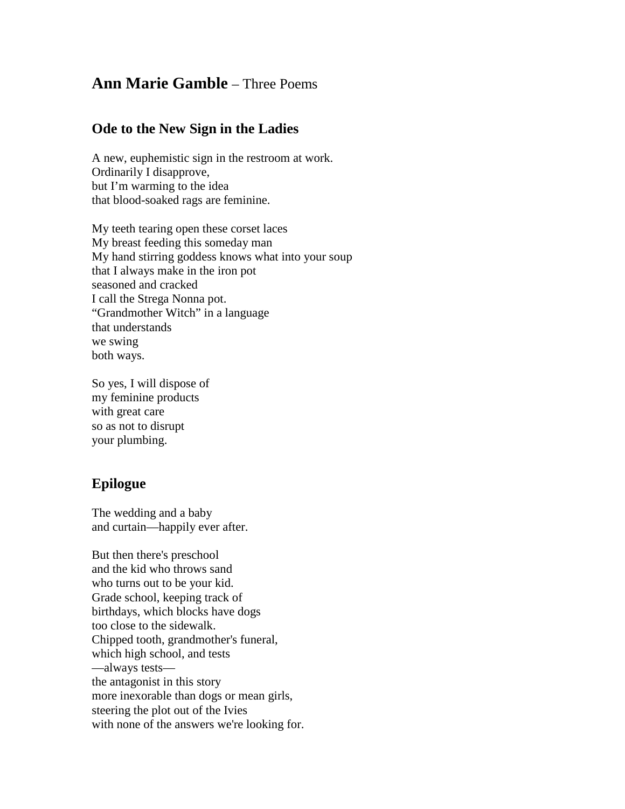## **Ann Marie Gamble** – Three Poems

## **Ode to the New Sign in the Ladies**

A new, euphemistic sign in the restroom at work. Ordinarily I disapprove, but I'm warming to the idea that blood-soaked rags are feminine.

My teeth tearing open these corset laces My breast feeding this someday man My hand stirring goddess knows what into your soup that I always make in the iron pot seasoned and cracked I call the Strega Nonna pot. "Grandmother Witch" in a language that understands we swing both ways.

So yes, I will dispose of my feminine products with great care so as not to disrupt your plumbing.

## **Epilogue**

The wedding and a baby and curtain—happily ever after.

But then there's preschool and the kid who throws sand who turns out to be your kid. Grade school, keeping track of birthdays, which blocks have dogs too close to the sidewalk. Chipped tooth, grandmother's funeral, which high school, and tests —always tests the antagonist in this story more inexorable than dogs or mean girls, steering the plot out of the Ivies with none of the answers we're looking for.